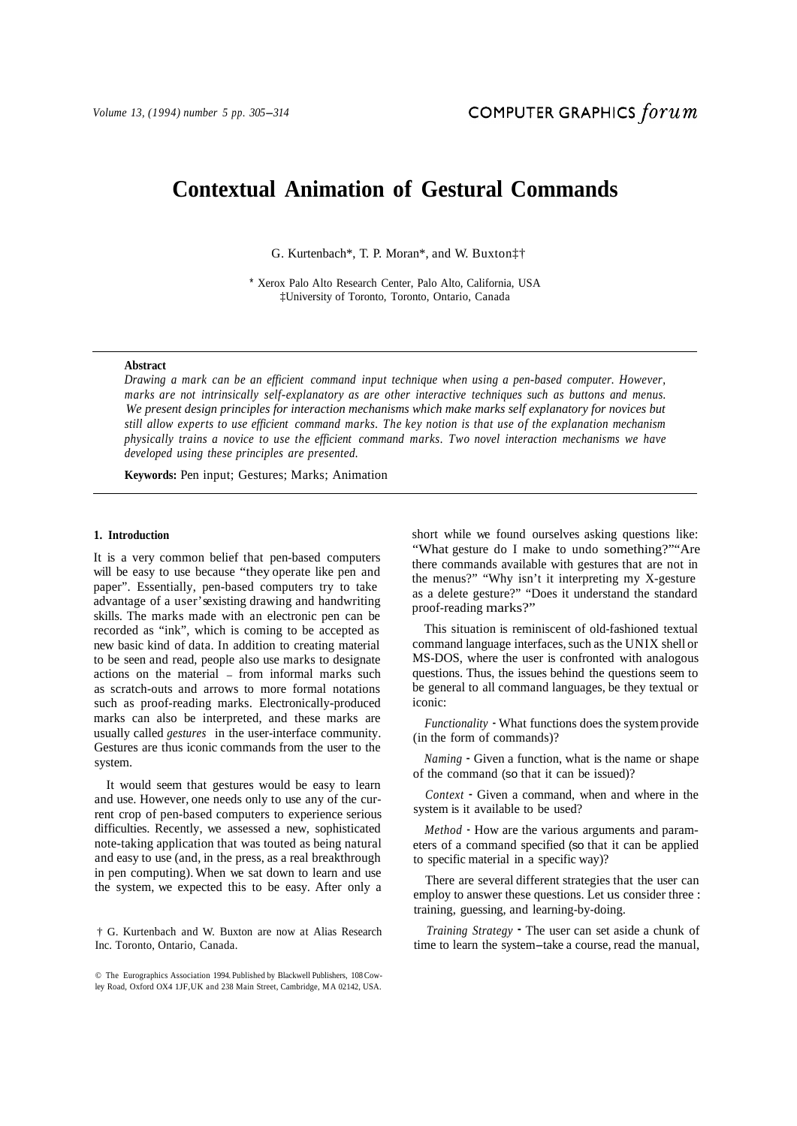# **Contextual Animation of Gestural Commands**

G. Kurtenbach\*, T. P. Moran\*, and W. Buxton‡†

\* Xerox Palo Alto Research Center, Palo Alto, California, USA ‡University of Toronto, Toronto, Ontario, Canada

# **Abstract**

*Drawing a mark can be an efficient command input technique when using a pen-based computer. However, marks are not intrinsically self-explanatory as are other interactive techniques such as buttons and menus. We present design principles for interaction mechanisms which make marks self explanatory for novices but still allow experts to use efficient command marks. The key notion is that use of the explanation mechanism physically trains a novice to use the efficient command marks. Two novel interaction mechanisms we have developed using these principles are presented.* 

**Keywords:** Pen input; Gestures; Marks; Animation

## **1. Introduction**

It is a very common belief that pen-based computers will be easy to use because "they operate like pen and paper". Essentially, pen-based computers try to take advantage of a user's existing drawing and handwriting skills. The marks made with an electronic pen can be recorded as "ink", which is coming to be accepted as new basic kind of data. In addition to creating material to be seen and read, people also use marks to designate actions on the material - from informal marks such as scratch-outs and arrows to more formal notations such as proof-reading marks. Electronically-produced marks can also be interpreted, and these marks are usually called *gestures* in the user-interface community. Gestures are thus iconic commands from the user to the system. **Contextual Animation**<br>
G. Kurtenback<sup>4</sup>, T. P.<br>
Y. Xacox Palo Alto Research<br>
(Theirestay of Teams (Elisterstay of Teams (Elisterstay of Teams (*G)* Moreing a mark can be an efficient command input mark are not intrinicte

It would seem that gestures would be easy to learn and use. However, one needs only to use any of the current crop of pen-based computers to experience serious difficulties. Recently, we assessed a new, sophisticated note-taking application that was touted as being natural and easy to use (and, in the press, as a real breakthrough in pen computing). When we sat down to learn and use

† G. Kurtenbach and W. Buxton are now at Alias Research Inc. Toronto, Ontario, Canada.

short while we found ourselves asking questions like: "What gesture do I make to undo something?""Are there commands available with gestures that are not in the menus?" "Why isn't it interpreting my X-gesture as a delete gesture?" "Does it understand the standard proof-reading marks?"

This situation is reminiscent of old-fashioned textual command language interfaces, such as the UNIX shell or MS-DOS, where the user is confronted with analogous questions. Thus, the issues behind the questions seem to be general to all command languages, be they textual or iconic:

*Functionality* - What functions does the system provide (in the form of commands)?

*Naming* - Given a function, what is the name or shape of the command (so that it can be issued)?

*Context* - Given a command, when and where in the system is it available to be used?

*Method* - How are the various arguments and parameters of a command specified (so that it can be applied to specific material in a specific way)?

There are several different strategies that the user can employ to answer these questions. Let us consider three : training, guessing, and learning-by-doing.

*Training Strategy* - The user can set aside a chunk of time to learn the system-take a course, read the manual,

<sup>©</sup> The Eurographics Association 1994. Published by Blackwell Publishers, 108 Cowley Road, Oxford OX4 1JF, UK and 238 Main Street, Cambridge, MA 02142, USA.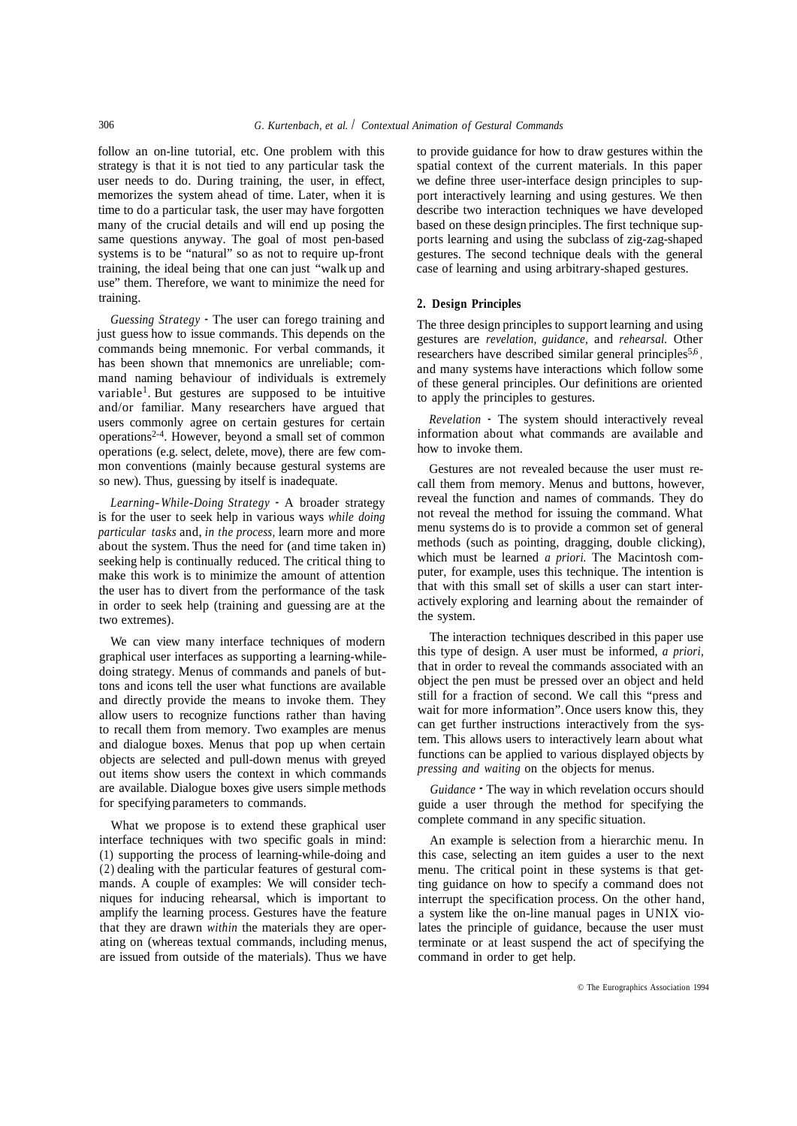follow an on-line tutorial, etc. One problem with this strategy is that it is not tied to any particular task the user needs to do. During training, the user, in effect, memorizes the system ahead of time. Later, when it is time to do a particular task, the user may have forgotten many of the crucial details and will end up posing the same questions anyway. The goal of most pen-based systems is to be "natural" so as not to require up-front training, the ideal being that one can just "walk up and use" them. Therefore, we want to minimize the need for training.

*Guessing Strategy* - The user can forego training and just guess how to issue commands. This depends on the commands being mnemonic. For verbal commands, it has been shown that mnemonics are unreliable; command naming behaviour of individuals is extremely variable1. But gestures are supposed to be intuitive and/or familiar. Many researchers have argued that users commonly agree on certain gestures for certain operations2-4. However, beyond a small set of common operations (e.g. select, delete, move), there are few common conventions (mainly because gestural systems are so new). Thus, guessing by itself is inadequate.

*Learning- While-Doing Strategy* - A broader strategy is for the user to seek help in various ways *while doing particular tasks* and, *in the process,* learn more and more about the system. Thus the need for (and time taken in) seeking help is continually reduced. The critical thing to make this work is to minimize the amount of attention the user has to divert from the performance of the task in order to seek help (training and guessing are at the two extremes).

We can view many interface techniques of modern graphical user interfaces as supporting a learning-whiledoing strategy. Menus of commands and panels of buttons and icons tell the user what functions are available and directly provide the means to invoke them. They allow users to recognize functions rather than having to recall them from memory. Two examples are menus and dialogue boxes. Menus that pop up when certain objects are selected and pull-down menus with greyed out items show users the context in which commands are available. Dialogue boxes give users simple methods for specifying parameters to commands.

What we propose is to extend these graphical user interface techniques with two specific goals in mind: (1) supporting the process of learning-while-doing and (2) dealing with the particular features of gestural commands. A couple of examples: We will consider techniques for inducing rehearsal, which is important to amplify the learning process. Gestures have the feature that they are drawn *within* the materials they are operating on (whereas textual commands, including menus, are issued from outside of the materials). Thus we have to provide guidance for how to draw gestures within the spatial context of the current materials. In this paper we define three user-interface design principles to support interactively learning and using gestures. We then describe two interaction techniques we have developed based on these design principles. The first technique supports learning and using the subclass of zig-zag-shaped gestures. The second technique deals with the general case of learning and using arbitrary-shaped gestures.

# **2. Design Principles**

The three design principles to support learning and using gestures are *revelation, guidance,* and *rehearsal.* Other researchers have described similar general principles<sup>5,6</sup>, and many systems have interactions which follow some of these general principles. Our definitions are oriented to apply the principles to gestures.

*Revelation* - The system should interactively reveal information about what commands are available and how to invoke them.

Gestures are not revealed because the user must recall them from memory. Menus and buttons, however, reveal the function and names of commands. They do not reveal the method for issuing the command. What menu systems do is to provide a common set of general methods (such as pointing, dragging, double clicking), which must be learned *a priori.* The Macintosh computer, for example, uses this technique. The intention is that with this small set of skills a user can start interactively exploring and learning about the remainder of the system.

The interaction techniques described in this paper use this type of design. A user must be informed, *a priori,*  that in order to reveal the commands associated with an object the pen must be pressed over an object and held still for a fraction of second. We call this "press and wait for more information". Once users know this, they can get further instructions interactively from the system. This allows users to interactively learn about what functions can be applied to various displayed objects by *pressing and waiting* on the objects for menus.

*Guidance* - The way in which revelation occurs should guide a user through the method for specifying the complete command in any specific situation.

An example is selection from a hierarchic menu. In this case, selecting an item guides a user to the next menu. The critical point in these systems is that getting guidance on how to specify a command does not interrupt the specification process. On the other hand, a system like the on-line manual pages in UNIX violates the principle of guidance, because the user must terminate or at least suspend the act of specifying the command in order to get help.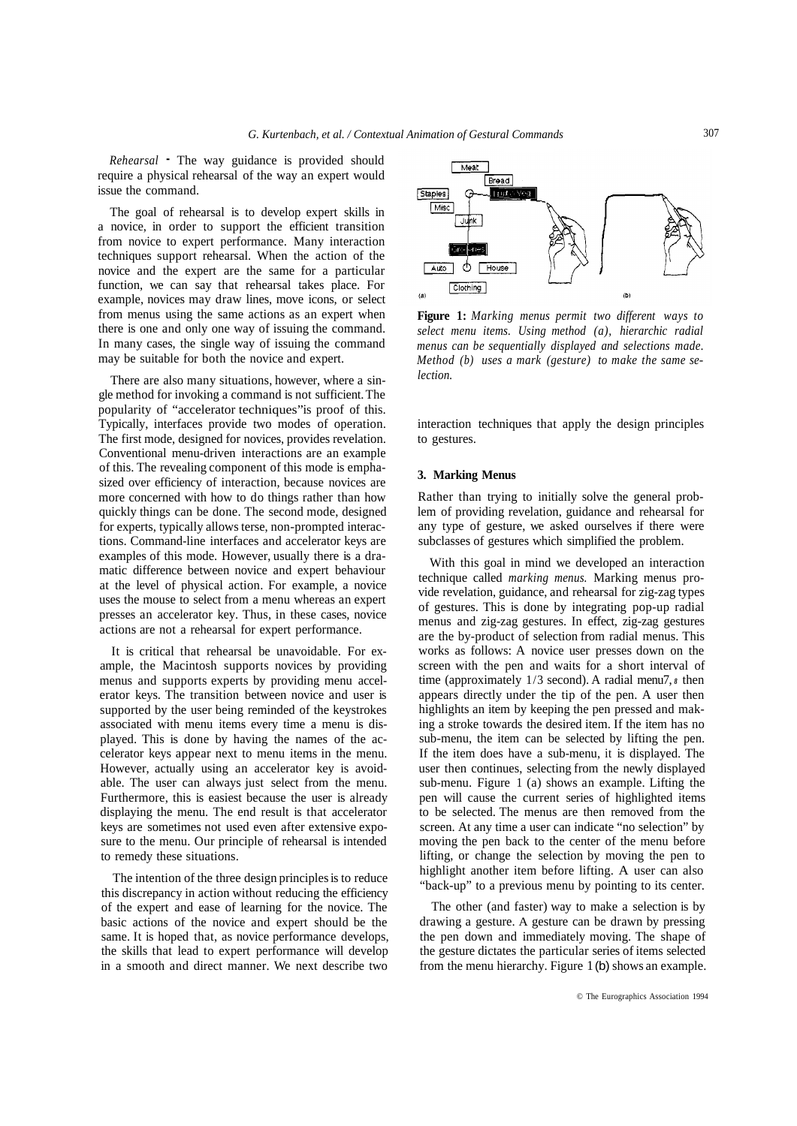*Rehearsal* - The way guidance is provided should require a physical rehearsal of the way an expert would issue the command.

The goal of rehearsal is to develop expert skills in a novice, in order to support the efficient transition from novice to expert performance. Many interaction techniques support rehearsal. When the action of the novice and the expert are the same for a particular function, we can say that rehearsal takes place. For example, novices may draw lines, move icons, or select from menus using the same actions as an expert when there is one and only one way of issuing the command. In many cases, the single way of issuing the command may be suitable for both the novice and expert.

There are also many situations, however, where a single method for invoking a command is not sufficient. The popularity of "accelerator techniques" is proof of this. Typically, interfaces provide two modes of operation. The first mode, designed for novices, provides revelation. Conventional menu-driven interactions are an example of this. The revealing component of this mode is emphasized over efficiency of interaction, because novices are more concerned with how to do things rather than how quickly things can be done. The second mode, designed for experts, typically allows terse, non-prompted interactions. Command-line interfaces and accelerator keys are examples of this mode. However, usually there is a dramatic difference between novice and expert behaviour at the level of physical action. For example, a novice uses the mouse to select from a menu whereas an expert presses an accelerator key. Thus, in these cases, novice actions are not a rehearsal for expert performance.

It is critical that rehearsal be unavoidable. For example, the Macintosh supports novices by providing menus and supports experts by providing menu accelerator keys. The transition between novice and user is supported by the user being reminded of the keystrokes associated with menu items every time a menu is displayed. This is done by having the names of the accelerator keys appear next to menu items in the menu. However, actually using an accelerator key is avoidable. The user can always just select from the menu. Furthermore, this is easiest because the user is already displaying the menu. The end result is that accelerator keys are sometimes not used even after extensive exposure to the menu. Our principle of rehearsal is intended to remedy these situations.

The intention of the three design principles is to reduce this discrepancy in action without reducing the efficiency of the expert and ease of learning for the novice. The basic actions of the novice and expert should be the same. It is hoped that, as novice performance develops, the skills that lead to expert performance will develop in a smooth and direct manner. We next describe two



**Figure 1:** *Marking menus permit two different ways to select menu items. Using method (a), hierarchic radial menus can be sequentially displayed and selections made. Method (b) uses a mark (gesture) to make the same selection.* 

interaction techniques that apply the design principles to gestures.

### **3. Marking Menus**

Rather than trying to initially solve the general problem of providing revelation, guidance and rehearsal for any type of gesture, we asked ourselves if there were subclasses of gestures which simplified the problem.

With this goal in mind we developed an interaction technique called *marking menus.* Marking menus provide revelation, guidance, and rehearsal for zig-zag types of gestures. This is done by integrating pop-up radial menus and zig-zag gestures. In effect, zig-zag gestures are the by-product of selection from radial menus. This works as follows: A novice user presses down on the screen with the pen and waits for a short interval of time (approximately 1/3 second). A radial menu7, *8* then appears directly under the tip of the pen. A user then highlights an item by keeping the pen pressed and making a stroke towards the desired item. If the item has no sub-menu, the item can be selected by lifting the pen. If the item does have a sub-menu, it is displayed. The user then continues, selecting from the newly displayed sub-menu. Figure 1 (a) shows an example. Lifting the pen will cause the current series of highlighted items to be selected. The menus are then removed from the screen. At any time a user can indicate "no selection" by moving the pen back to the center of the menu before lifting, or change the selection by moving the pen to highlight another item before lifting. A user can also "back-up" to a previous menu by pointing to its center.

The other (and faster) way to make a selection is by drawing a gesture. A gesture can be drawn by pressing the pen down and immediately moving. The shape of the gesture dictates the particular series of items selected from the menu hierarchy. Figure 1 (b) shows an example.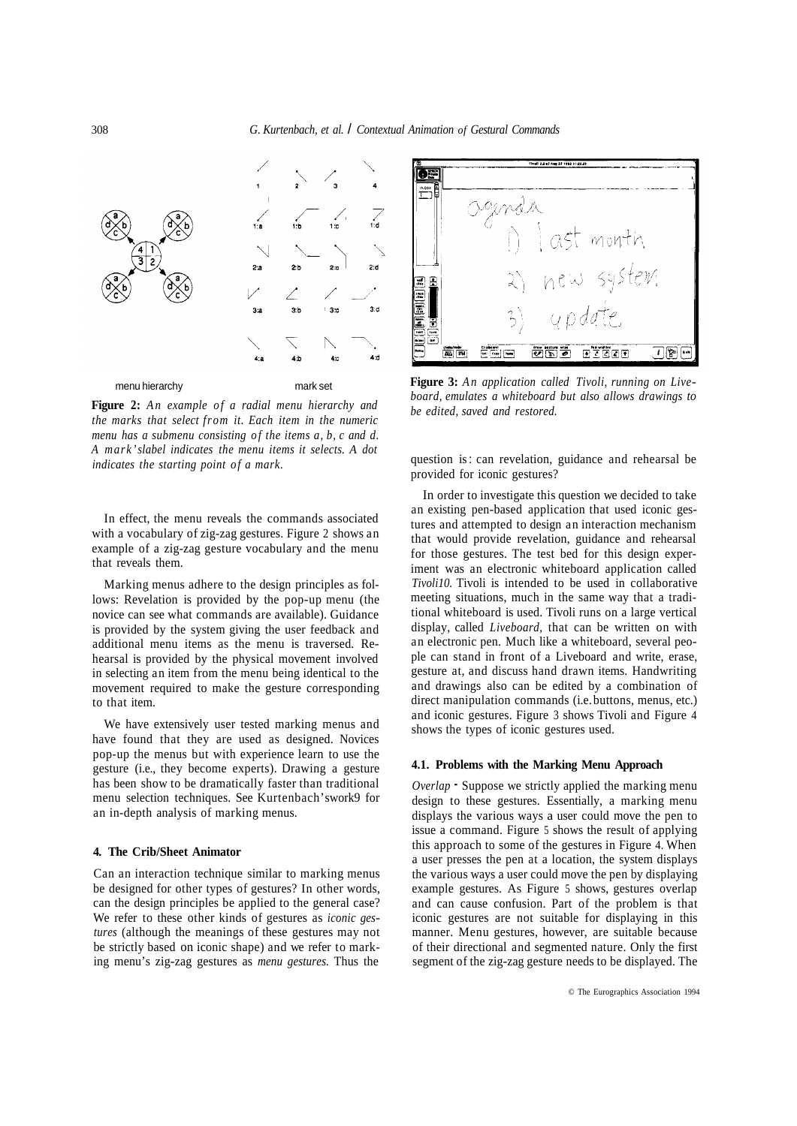

**Figure 2:** *An example of a radial menu hierarchy and the marks that select from it. Each item in the numeric menu has a submenu consisting of the items a, b, c and d. A mark's label indicates the menu items it selects. A dot indicates the starting point of a mark.* 

In effect, the menu reveals the commands associated with a vocabulary of zig-zag gestures. Figure 2 shows an example of a zig-zag gesture vocabulary and the menu that reveals them.

Marking menus adhere to the design principles as follows: Revelation is provided by the pop-up menu (the novice can see what commands are available). Guidance is provided by the system giving the user feedback and additional menu items as the menu is traversed. Rehearsal is provided by the physical movement involved in selecting an item from the menu being identical to the movement required to make the gesture corresponding to that item.

We have extensively user tested marking menus and have found that they are used as designed. Novices pop-up the menus but with experience learn to use the gesture (i.e., they become experts). Drawing a gesture has been show to be dramatically faster than traditional menu selection techniques. See Kurtenbach's work9 for an in-depth analysis of marking menus.

#### **4. The Crib/Sheet Animator**

Can an interaction technique similar to marking menus be designed for other types of gestures? In other words, can the design principles be applied to the general case? We refer to these other kinds of gestures as *iconic gestures* (although the meanings of these gestures may not be strictly based on iconic shape) and we refer to marking menu's zig-zag gestures as *menu gestures.* Thus the



**Figure 3:** *An application called Tivoli, running on Liveboard, emulates a whiteboard but also allows drawings to be edited, saved and restored.* 

question is : can revelation, guidance and rehearsal be provided for iconic gestures?

In order to investigate this question we decided to take an existing pen-based application that used iconic gestures and attempted to design an interaction mechanism that would provide revelation, guidance and rehearsal for those gestures. The test bed for this design experiment was an electronic whiteboard application called *Tivoli10.* Tivoli is intended to be used in collaborative meeting situations, much in the same way that a traditional whiteboard is used. Tivoli runs on a large vertical display, called *Liveboard,* that can be written on with an electronic pen. Much like a whiteboard, several people can stand in front of a Liveboard and write, erase, gesture at, and discuss hand drawn items. Handwriting and drawings also can be edited by a combination of direct manipulation commands (i.e. buttons, menus, etc.) and iconic gestures. Figure 3 shows Tivoli and Figure 4 shows the types of iconic gestures used.

#### **4.1. Problems with the Marking Menu Approach**

*Overlap* - Suppose we strictly applied the marking menu design to these gestures. Essentially, a marking menu displays the various ways a user could move the pen to issue a command. Figure 5 shows the result of applying this approach to some of the gestures in Figure 4. When a user presses the pen at a location, the system displays the various ways a user could move the pen by displaying example gestures. As Figure 5 shows, gestures overlap and can cause confusion. Part of the problem is that iconic gestures are not suitable for displaying in this manner. Menu gestures, however, are suitable because of their directional and segmented nature. Only the first segment of the zig-zag gesture needs to be displayed. The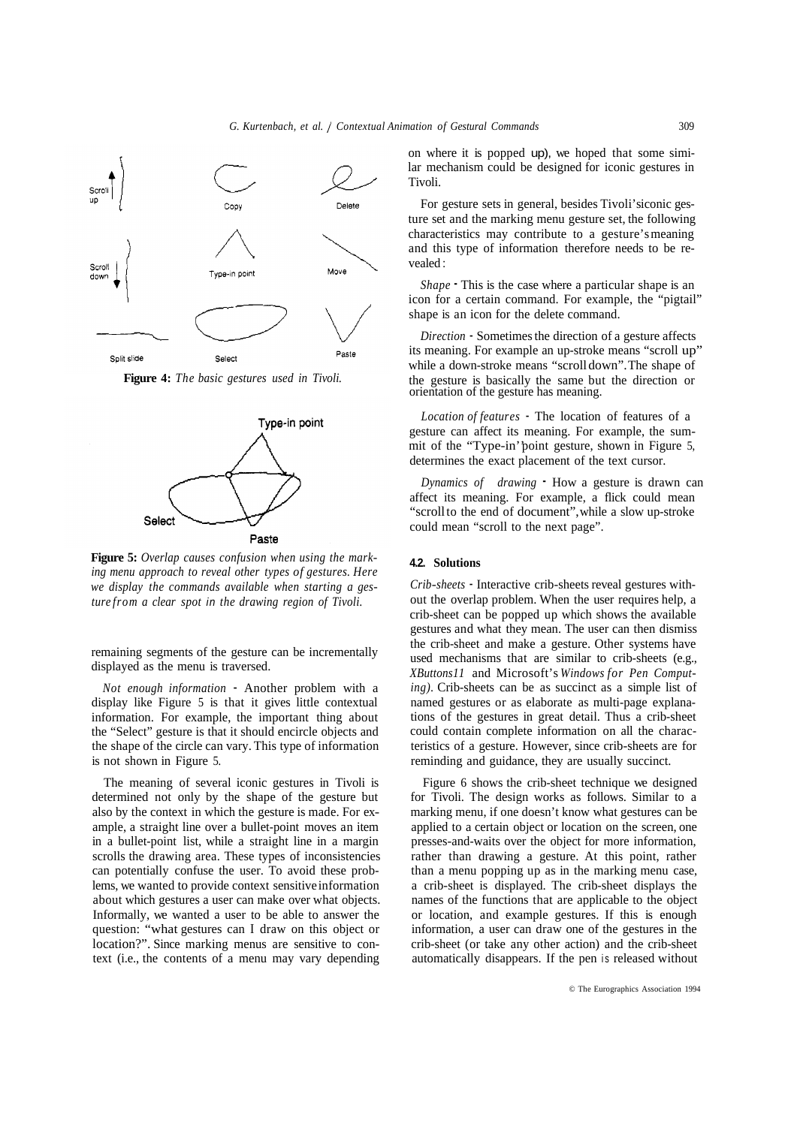

**Figure 4:** *The basic gestures used in Tivoli.* 



**Figure 5:** *Overlap causes confusion when using the marking menu approach to reveal other types of gestures. Here we display the commands available when starting a gesture from a clear spot in the drawing region of Tivoli.* 

remaining segments of the gesture can be incrementally displayed as the menu is traversed.

*Not enough information* - Another problem with a display like Figure 5 is that it gives little contextual information. For example, the important thing about the "Select" gesture is that it should encircle objects and the shape of the circle can vary. This type of information is not shown in Figure 5.

The meaning of several iconic gestures in Tivoli is determined not only by the shape of the gesture but also by the context in which the gesture is made. For example, a straight line over a bullet-point moves an item in a bullet-point list, while a straight line in a margin scrolls the drawing area. These types of inconsistencies can potentially confuse the user. To avoid these problems, we wanted to provide context sensitive information about which gestures a user can make over what objects. Informally, we wanted a user to be able to answer the question: "what gestures can I draw on this object or location?". Since marking menus are sensitive to context (i.e., the contents of a menu may vary depending

on where it is popped up), we hoped that some similar mechanism could be designed for iconic gestures in Tivoli.

For gesture sets in general, besides Tivoli's iconic gesture set and the marking menu gesture set, the following characteristics may contribute to a gesture's meaning and this type of information therefore needs to be revealed :

*Shape* - This is the case where a particular shape is an icon for a certain command. For example, the "pigtail" shape is an icon for the delete command.

*Direction* - Sometimes the direction of a gesture affects its meaning. For example an up-stroke means "scroll up" while a down-stroke means "scroll down". The shape of the gesture is basically the same but the direction or orientation of the gesture has meaning.

*Location of features* - The location of features of a gesture can affect its meaning. For example, the summit of the "Type-in'' point gesture, shown in Figure 5, determines the exact placement of the text cursor.

*Dynamics of drawing* - How a gesture is drawn can affect its meaning. For example, a flick could mean "scroll to the end of document", while a slow up-stroke could mean "scroll to the next page".

## **4.2. Solutions**

*Crib-sheets* - Interactive crib-sheets reveal gestures without the overlap problem. When the user requires help, a crib-sheet can be popped up which shows the available gestures and what they mean. The user can then dismiss the crib-sheet and make a gesture. Other systems have used mechanisms that are similar to crib-sheets (e.g., *XButtons11* and Microsoft's *Windows for Pen Computing).* Crib-sheets can be as succinct as a simple list of named gestures or as elaborate as multi-page explanations of the gestures in great detail. Thus a crib-sheet could contain complete information on all the characteristics of a gesture. However, since crib-sheets are for reminding and guidance, they are usually succinct.

Figure 6 shows the crib-sheet technique we designed for Tivoli. The design works as follows. Similar to a marking menu, if one doesn't know what gestures can be applied to a certain object or location on the screen, one presses-and-waits over the object for more information, rather than drawing a gesture. At this point, rather than a menu popping up as in the marking menu case, a crib-sheet is displayed. The crib-sheet displays the names of the functions that are applicable to the object or location, and example gestures. If this is enough information, a user can draw one of the gestures in the crib-sheet (or take any other action) and the crib-sheet automatically disappears. If the pen is released without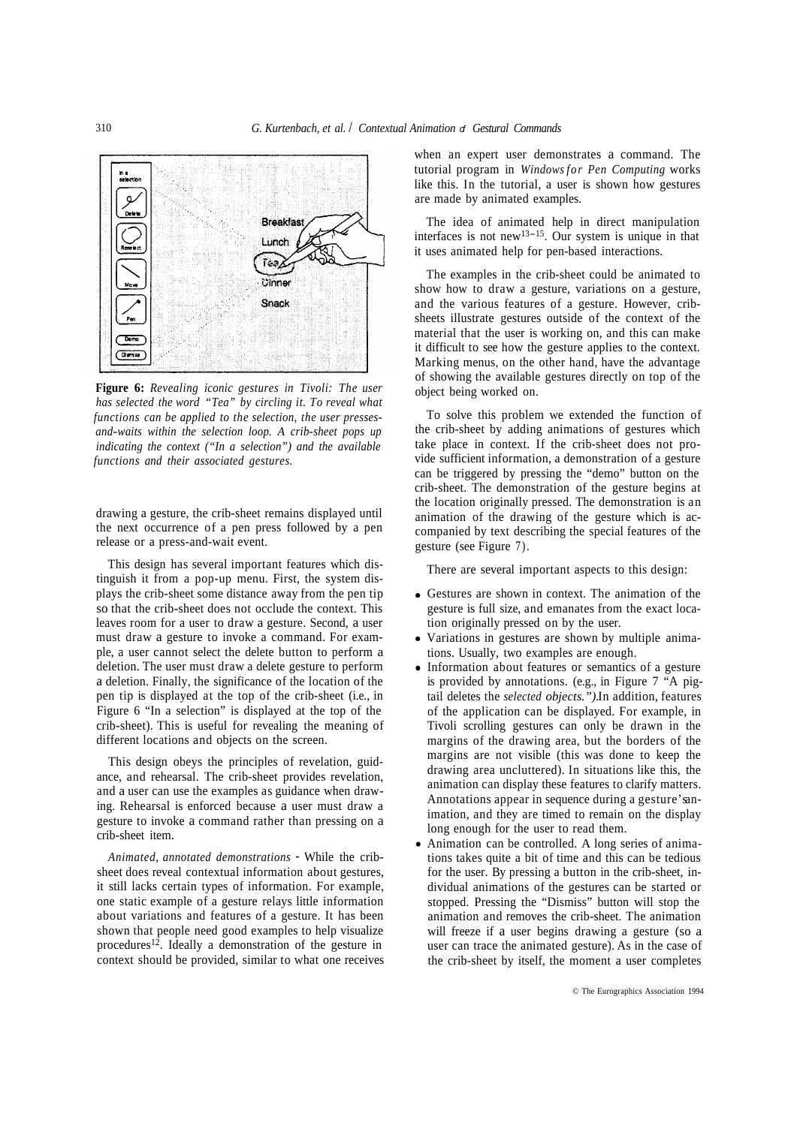

**Figure 6:** *Revealing iconic gestures in Tivoli: The user has selected the word "Tea" by circling it. To reveal what functions can be applied to the selection, the user pressesand-waits within the selection loop. A crib-sheet pops up indicating the context ("In a selection") and the available functions and their associated gestures.* 

drawing a gesture, the crib-sheet remains displayed until the next occurrence of a pen press followed by a pen release or a press-and-wait event.

This design has several important features which distinguish it from a pop-up menu. First, the system displays the crib-sheet some distance away from the pen tip so that the crib-sheet does not occlude the context. This leaves room for a user to draw a gesture. Second, a user must draw a gesture to invoke a command. For example, a user cannot select the delete button to perform a deletion. The user must draw a delete gesture to perform a deletion. Finally, the significance of the location of the pen tip is displayed at the top of the crib-sheet (i.e., in Figure 6 "In a selection" is displayed at the top of the crib-sheet). This is useful for revealing the meaning of different locations and objects on the screen.

This design obeys the principles of revelation, guidance, and rehearsal. The crib-sheet provides revelation, and a user can use the examples as guidance when drawing. Rehearsal is enforced because a user must draw a gesture to invoke a command rather than pressing on a crib-sheet item.

*Animated, annotated demonstrations* - While the cribsheet does reveal contextual information about gestures, it still lacks certain types of information. For example, one static example of a gesture relays little information about variations and features of a gesture. It has been shown that people need good examples to help visualize procedures<sup>12</sup>. Ideally a demonstration of the gesture in context should be provided, similar to what one receives when an expert user demonstrates a command. The tutorial program in *Windows for Pen Computing* works like this. In the tutorial, a user is shown how gestures are made by animated examples.

The idea of animated help in direct manipulation interfaces is not new<sup>13-15</sup>. Our system is unique in that it uses animated help for pen-based interactions.

The examples in the crib-sheet could be animated to show how to draw a gesture, variations on a gesture, and the various features of a gesture. However, cribsheets illustrate gestures outside of the context of the material that the user is working on, and this can make it difficult to see how the gesture applies to the context. Marking menus, on the other hand, have the advantage of showing the available gestures directly on top of the object being worked on.

To solve this problem we extended the function of the crib-sheet by adding animations of gestures which take place in context. If the crib-sheet does not provide sufficient information, a demonstration of a gesture can be triggered by pressing the "demo" button on the crib-sheet. The demonstration of the gesture begins at the location originally pressed. The demonstration is an animation of the drawing of the gesture which is accompanied by text describing the special features of the gesture (see Figure 7).

There are several important aspects to this design:

- Gestures are shown in context. The animation of the gesture is full size, and emanates from the exact location originally pressed on by the user.
- Variations in gestures are shown by multiple animations. Usually, two examples are enough.
- Information about features or semantics of a gesture is provided by annotations. (e.g., in Figure 7 "A pigtail deletes the *selected objects.").* In addition, features of the application can be displayed. For example, in Tivoli scrolling gestures can only be drawn in the margins of the drawing area, but the borders of the margins are not visible (this was done to keep the drawing area uncluttered). In situations like this, the animation can display these features to clarify matters. Annotations appear in sequence during a gesture's animation, and they are timed to remain on the display long enough for the user to read them.
- Animation can be controlled. A long series of animations takes quite a bit of time and this can be tedious for the user. By pressing a button in the crib-sheet, individual animations of the gestures can be started or stopped. Pressing the "Dismiss" button will stop the animation and removes the crib-sheet. The animation will freeze if a user begins drawing a gesture (so a user can trace the animated gesture). As in the case of the crib-sheet by itself, the moment a user completes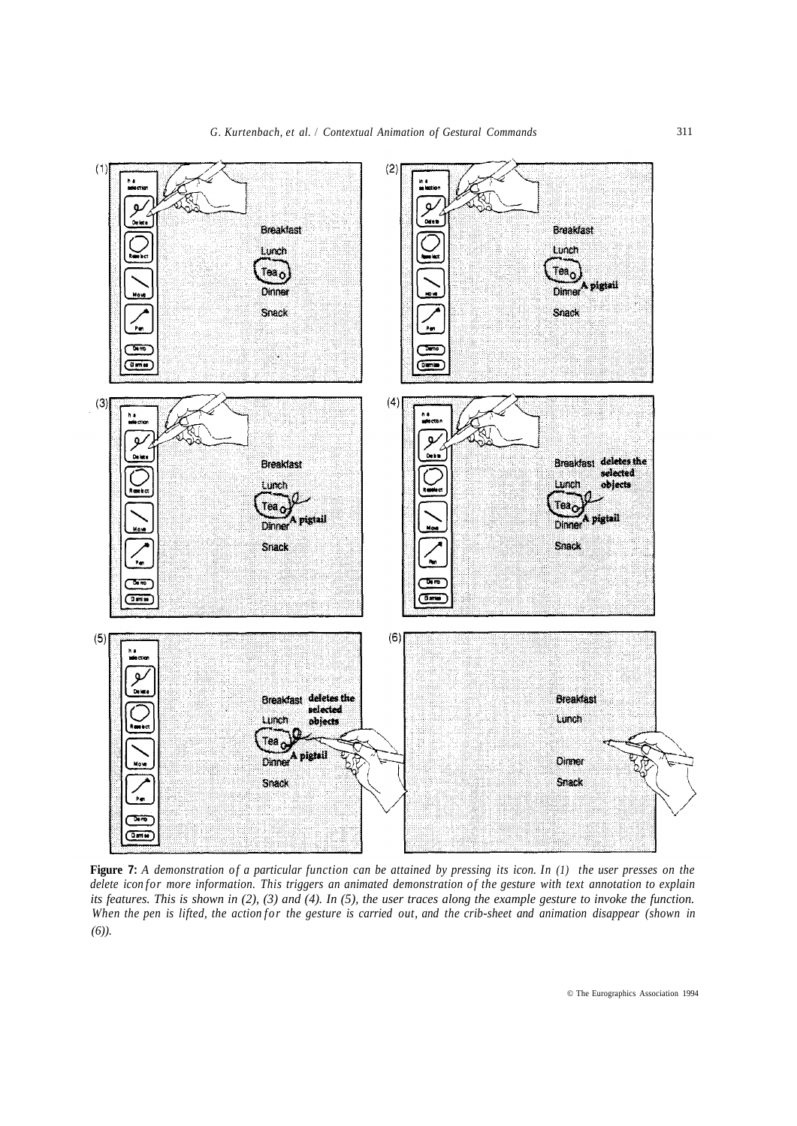

**Figure 7:** *A demonstration of a particular function can be attained by pressing its icon. In (1) the user presses on the delete icon for more information. This triggers an animated demonstration of the gesture with text annotation to explain its features. This is shown in (2), (3) and (4). In (5), the user traces along the example gesture to invoke the function. When the pen is lifted, the action for the gesture is carried out, and the crib-sheet and animation disappear (shown in (6)).*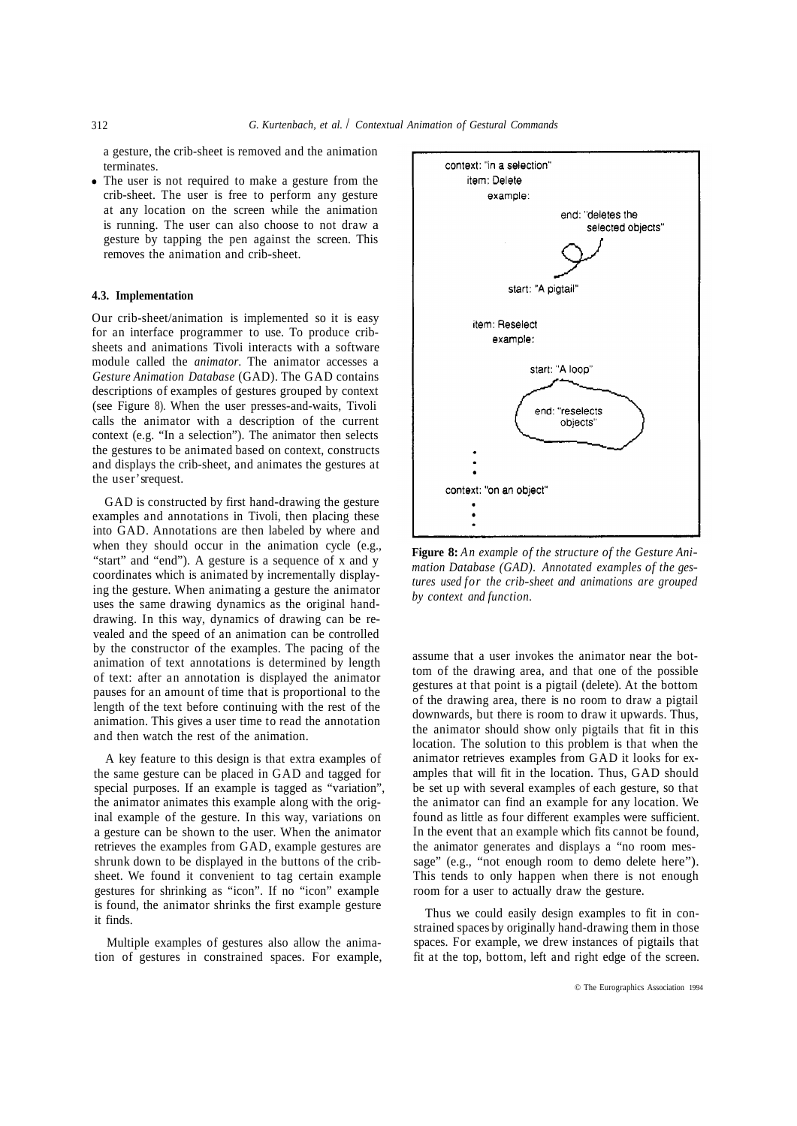a gesture, the crib-sheet is removed and the animation terminates.

The user is not required to make a gesture from the crib-sheet. The user is free to perform any gesture at any location on the screen while the animation is running. The user can also choose to not draw a gesture by tapping the pen against the screen. This removes the animation and crib-sheet.

#### **4.3. Implementation**

Our crib-sheet/animation is implemented so it is easy for an interface programmer to use. To produce cribsheets and animations Tivoli interacts with a software module called the *animator.* The animator accesses a *Gesture Animation Database* (GAD). The GAD contains descriptions of examples of gestures grouped by context (see Figure 8). When the user presses-and-waits, Tivoli calls the animator with a description of the current context (e.g. "In a selection"). The animator then selects the gestures to be animated based on context, constructs and displays the crib-sheet, and animates the gestures at the user's request.

GAD is constructed by first hand-drawing the gesture examples and annotations in Tivoli, then placing these into GAD. Annotations are then labeled by where and when they should occur in the animation cycle (e.g., "start" and "end"). A gesture is a sequence of x and y coordinates which is animated by incrementally displaying the gesture. When animating a gesture the animator uses the same drawing dynamics as the original handdrawing. In this way, dynamics of drawing can be revealed and the speed of an animation can be controlled by the constructor of the examples. The pacing of the animation of text annotations is determined by length of text: after an annotation is displayed the animator pauses for an amount of time that is proportional to the length of the text before continuing with the rest of the animation. This gives a user time to read the annotation and then watch the rest of the animation.

A key feature to this design is that extra examples of the same gesture can be placed in GAD and tagged for special purposes. If an example is tagged as "variation", the animator animates this example along with the original example of the gesture. In this way, variations on a gesture can be shown to the user. When the animator retrieves the examples from GAD, example gestures are shrunk down to be displayed in the buttons of the cribsheet. We found it convenient to tag certain example gestures for shrinking as "icon". If no "icon" example is found, the animator shrinks the first example gesture it finds.

Multiple examples of gestures also allow the animation of gestures in constrained spaces. For example,



**Figure 8:** *An example of the structure of the Gesture Animation Database (GAD). Annotated examples of the gestures used for the crib-sheet and animations are grouped by context and function.* 

assume that a user invokes the animator near the bottom of the drawing area, and that one of the possible gestures at that point is a pigtail (delete). At the bottom of the drawing area, there is no room to draw a pigtail downwards, but there is room to draw it upwards. Thus, the animator should show only pigtails that fit in this location. The solution to this problem is that when the animator retrieves examples from GAD it looks for examples that will fit in the location. Thus, GAD should be set up with several examples of each gesture, so that the animator can find an example for any location. We found as little as four different examples were sufficient. In the event that an example which fits cannot be found, the animator generates and displays a "no room message" (e.g., "not enough room to demo delete here"). This tends to only happen when there is not enough room for a user to actually draw the gesture.

Thus we could easily design examples to fit in constrained spaces by originally hand-drawing them in those spaces. For example, we drew instances of pigtails that fit at the top, bottom, left and right edge of the screen.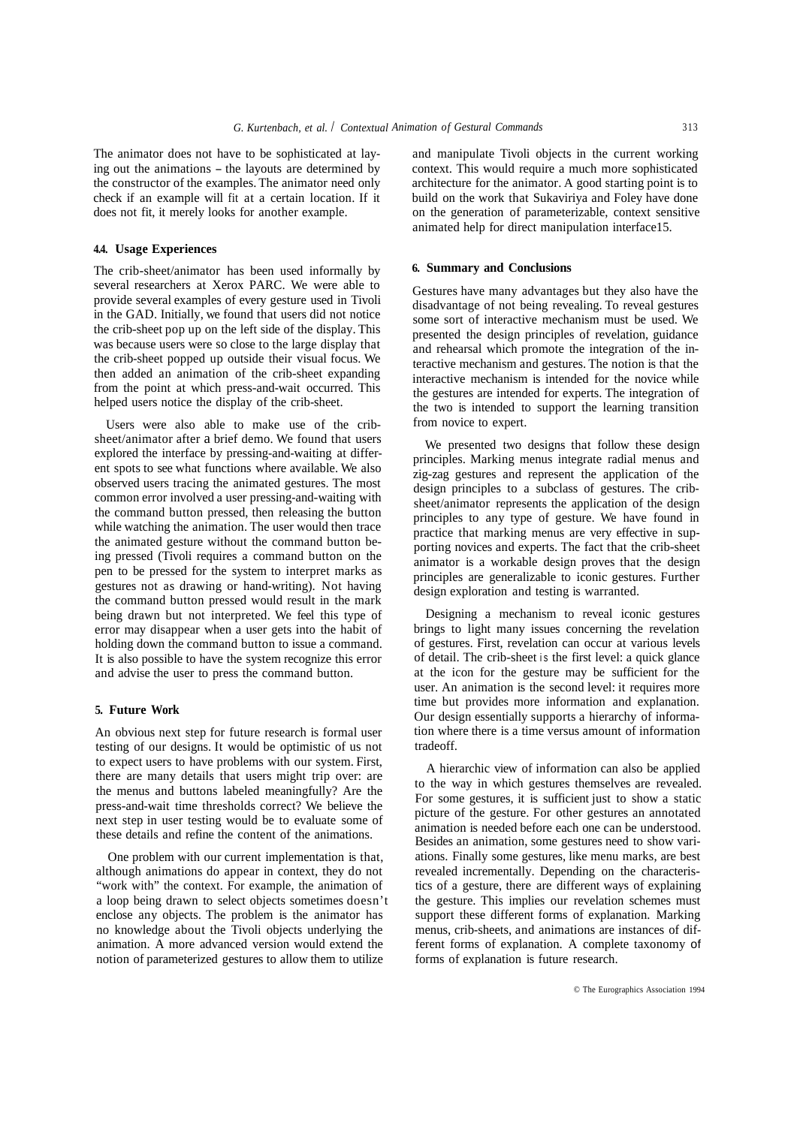The animator does not have to be sophisticated at laying out the animations - the layouts are determined by the constructor of the examples. The animator need only check if an example will fit at a certain location. If it does not fit, it merely looks for another example.

#### **4.4. Usage Experiences**

The crib-sheet/animator has been used informally by several researchers at Xerox PARC. We were able to provide several examples of every gesture used in Tivoli in the GAD. Initially, we found that users did not notice the crib-sheet pop up on the left side of the display. This was because users were so close to the large display that the crib-sheet popped up outside their visual focus. We then added an animation of the crib-sheet expanding from the point at which press-and-wait occurred. This helped users notice the display of the crib-sheet.

Users were also able to make use of the cribsheet/animator after a brief demo. We found that users explored the interface by pressing-and-waiting at different spots to see what functions where available. We also observed users tracing the animated gestures. The most common error involved a user pressing-and-waiting with the command button pressed, then releasing the button while watching the animation. The user would then trace the animated gesture without the command button being pressed (Tivoli requires a command button on the pen to be pressed for the system to interpret marks as gestures not as drawing or hand-writing). Not having the command button pressed would result in the mark being drawn but not interpreted. We feel this type of error may disappear when a user gets into the habit of holding down the command button to issue a command. It is also possible to have the system recognize this error and advise the user to press the command button.

## **5. Future Work**

An obvious next step for future research is formal user testing of our designs. It would be optimistic of us not to expect users to have problems with our system. First, there are many details that users might trip over: are the menus and buttons labeled meaningfully? Are the press-and-wait time thresholds correct? We believe the next step in user testing would be to evaluate some of these details and refine the content of the animations.

One problem with our current implementation is that, although animations do appear in context, they do not "work with" the context. For example, the animation of a loop being drawn to select objects sometimes doesn't enclose any objects. The problem is the animator has no knowledge about the Tivoli objects underlying the animation. A more advanced version would extend the notion of parameterized gestures to allow them to utilize

and manipulate Tivoli objects in the current working context. This would require a much more sophisticated architecture for the animator. A good starting point is to build on the work that Sukaviriya and Foley have done on the generation of parameterizable, context sensitive animated help for direct manipulation interface15.

#### **6. Summary and Conclusions**

Gestures have many advantages but they also have the disadvantage of not being revealing. To reveal gestures some sort of interactive mechanism must be used. We presented the design principles of revelation, guidance and rehearsal which promote the integration of the interactive mechanism and gestures. The notion is that the interactive mechanism is intended for the novice while the gestures are intended for experts. The integration of the two is intended to support the learning transition from novice to expert.

We presented two designs that follow these design principles. Marking menus integrate radial menus and zig-zag gestures and represent the application of the design principles to a subclass of gestures. The cribsheet/animator represents the application of the design principles to any type of gesture. We have found in practice that marking menus are very effective in supporting novices and experts. The fact that the crib-sheet animator is a workable design proves that the design principles are generalizable to iconic gestures. Further design exploration and testing is warranted.

Designing a mechanism to reveal iconic gestures brings to light many issues concerning the revelation of gestures. First, revelation can occur at various levels of detail. The crib-sheet is the first level: a quick glance at the icon for the gesture may be sufficient for the user. An animation is the second level: it requires more time but provides more information and explanation. Our design essentially supports a hierarchy of information where there is a time versus amount of information tradeoff.

A hierarchic view of information can also be applied to the way in which gestures themselves are revealed. For some gestures, it is sufficient just to show a static picture of the gesture. For other gestures an annotated animation is needed before each one can be understood. Besides an animation, some gestures need to show variations. Finally some gestures, like menu marks, are best revealed incrementally. Depending on the characteristics of a gesture, there are different ways of explaining the gesture. This implies our revelation schemes must support these different forms of explanation. Marking menus, crib-sheets, and animations are instances of different forms of explanation. A complete taxonomy of forms of explanation is future research.